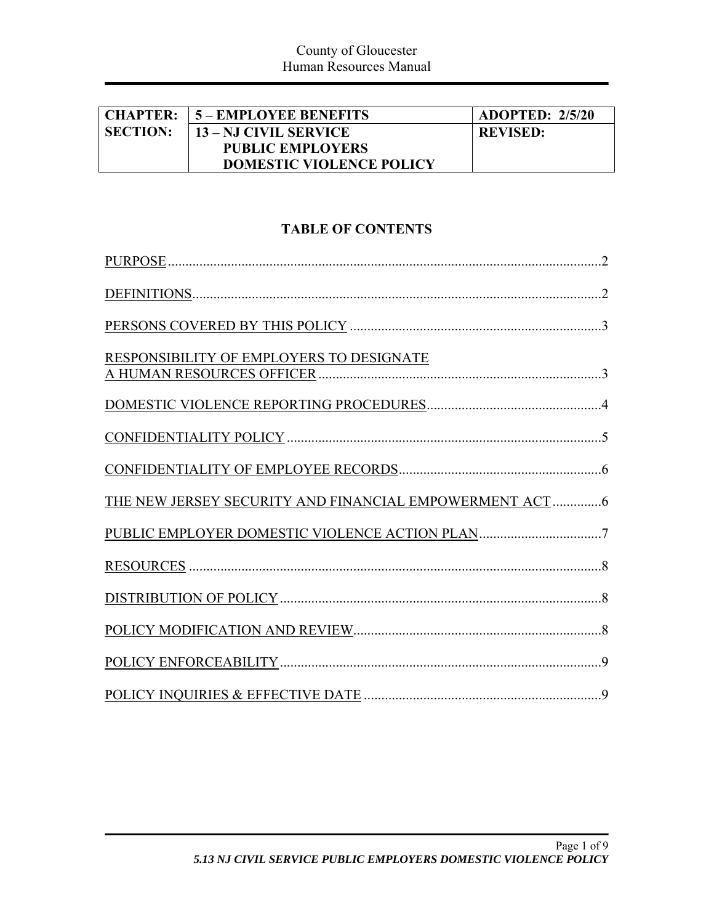| <b>CHAPTER:</b> | <b>15 – EMPLOYEE BENEFITS</b>   | <b>ADOPTED: 2/5/20</b> |
|-----------------|---------------------------------|------------------------|
| <b>SECTION:</b> | 13 – NJ CIVIL SERVICE           | <b>REVISED:</b>        |
|                 | <b>PUBLIC EMPLOYERS</b>         |                        |
|                 | <b>DOMESTIC VIOLENCE POLICY</b> |                        |

# **TABLE OF CONTENTS**

| RESPONSIBILITY OF EMPLOYERS TO DESIGNATE                |
|---------------------------------------------------------|
|                                                         |
|                                                         |
|                                                         |
| THE NEW JERSEY SECURITY AND FINANCIAL EMPOWERMENT ACT 6 |
|                                                         |
|                                                         |
|                                                         |
|                                                         |
|                                                         |
|                                                         |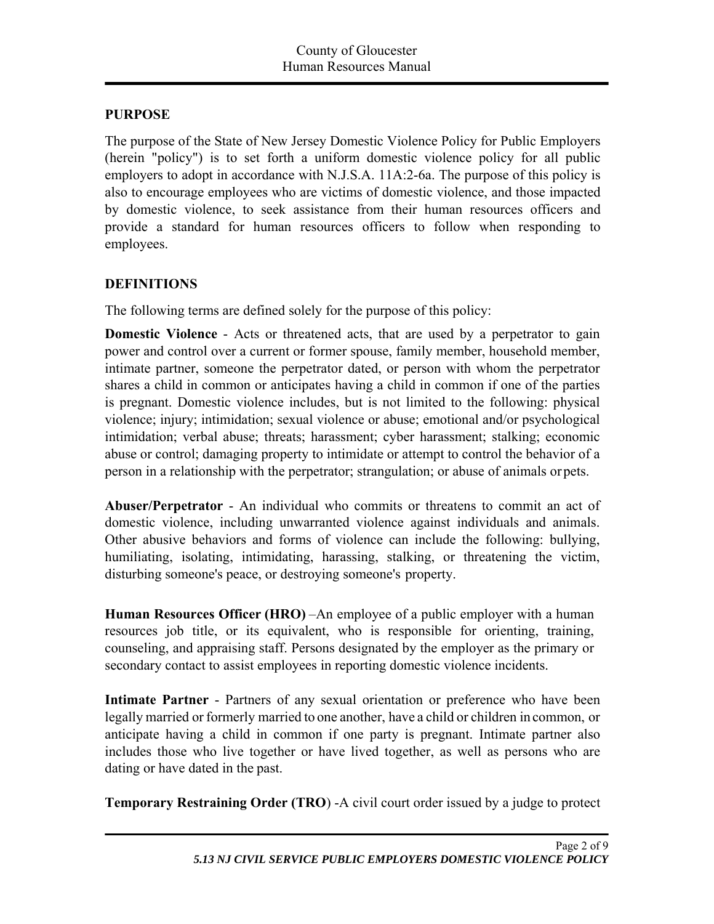#### **PURPOSE**

The purpose of the State of New Jersey Domestic Violence Policy for Public Employers (herein "policy") is to set forth a uniform domestic violence policy for all public employers to adopt in accordance with N.J.S.A. 11A:2-6a. The purpose of this policy is also to encourage employees who are victims of domestic violence, and those impacted by domestic violence, to seek assistance from their human resources officers and provide a standard for human resources officers to follow when responding to employees.

## **DEFINITIONS**

The following terms are defined solely for the purpose of this policy:

**Domestic Violence** - Acts or threatened acts, that are used by a perpetrator to gain power and control over a current or former spouse, family member, household member, intimate partner, someone the perpetrator dated, or person with whom the perpetrator shares a child in common or anticipates having a child in common if one of the parties is pregnant. Domestic violence includes, but is not limited to the following: physical violence; injury; intimidation; sexual violence or abuse; emotional and/or psychological intimidation; verbal abuse; threats; harassment; cyber harassment; stalking; economic abuse or control; damaging property to intimidate or attempt to control the behavior of a person in a relationship with the perpetrator; strangulation; or abuse of animals or pets.

**Abuser/Perpetrator** - An individual who commits or threatens to commit an act of domestic violence, including unwarranted violence against individuals and animals. Other abusive behaviors and forms of violence can include the following: bullying, humiliating, isolating, intimidating, harassing, stalking, or threatening the victim, disturbing someone's peace, or destroying someone's property.

**Human Resources Officer (HRO)** –An employee of a public employer with a human resources job title, or its equivalent, who is responsible for orienting, training, counseling, and appraising staff. Persons designated by the employer as the primary or secondary contact to assist employees in reporting domestic violence incidents.

**Intimate Partner** - Partners of any sexual orientation or preference who have been legally married or formerly married to one another, have a child or children in common, or anticipate having a child in common if one party is pregnant. Intimate partner also includes those who live together or have lived together, as well as persons who are dating or have dated in the past.

**Temporary Restraining Order (TRO**) -A civil court order issued by a judge to protect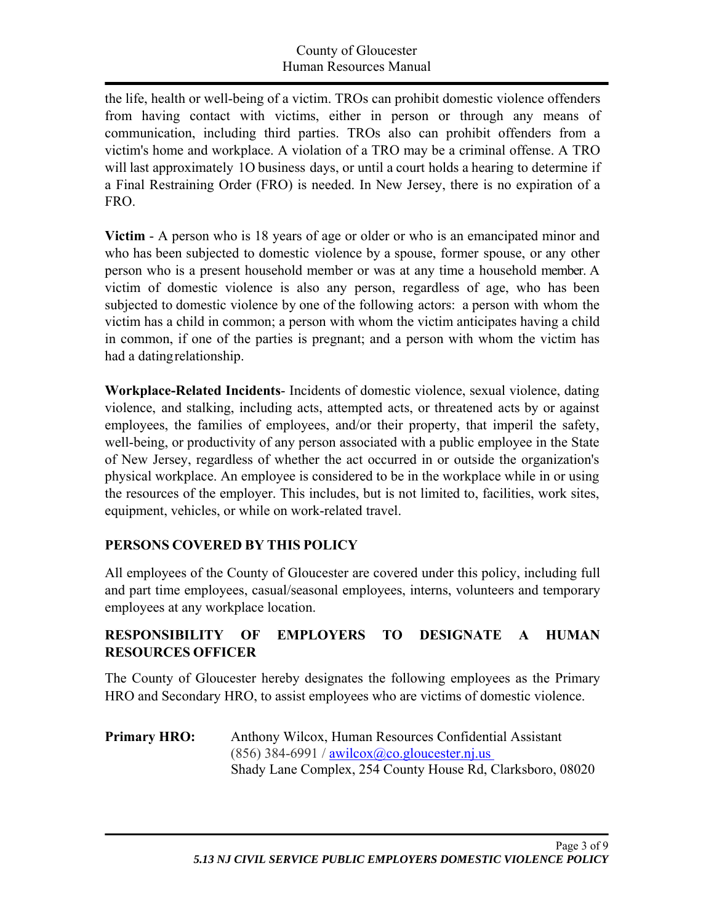the life, health or well-being of a victim. TROs can prohibit domestic violence offenders from having contact with victims, either in person or through any means of communication, including third parties. TROs also can prohibit offenders from a victim's home and workplace. A violation of a TRO may be a criminal offense. A TRO will last approximately 1O business days, or until a court holds a hearing to determine if a Final Restraining Order (FRO) is needed. In New Jersey, there is no expiration of a FRO.

**Victim** - A person who is 18 years of age or older or who is an emancipated minor and who has been subjected to domestic violence by a spouse, former spouse, or any other person who is a present household member or was at any time a household member. A victim of domestic violence is also any person, regardless of age, who has been subjected to domestic violence by one of the following actors: a person with whom the victim has a child in common; a person with whom the victim anticipates having a child in common, if one of the parties is pregnant; and a person with whom the victim has had a dating relationship.

**Workplace-Related Incidents**- Incidents of domestic violence, sexual violence, dating violence, and stalking, including acts, attempted acts, or threatened acts by or against employees, the families of employees, and/or their property, that imperil the safety, well-being, or productivity of any person associated with a public employee in the State of New Jersey, regardless of whether the act occurred in or outside the organization's physical workplace. An employee is considered to be in the workplace while in or using the resources of the employer. This includes, but is not limited to, facilities, work sites, equipment, vehicles, or while on work-related travel.

## **PERSONS COVERED BY THIS POLICY**

All employees of the County of Gloucester are covered under this policy, including full and part time employees, casual/seasonal employees, interns, volunteers and temporary employees at any workplace location.

## **RESPONSIBILITY OF EMPLOYERS TO DESIGNATE A HUMAN RESOURCES OFFICER**

The County of Gloucester hereby designates the following employees as the Primary HRO and Secondary HRO, to assist employees who are victims of domestic violence.

**Primary HRO:** Anthony Wilcox, Human Resources Confidential Assistant  $(856)$  384-6991 / awilcox@co.gloucester.nj.us Shady Lane Complex, 254 County House Rd, Clarksboro, 08020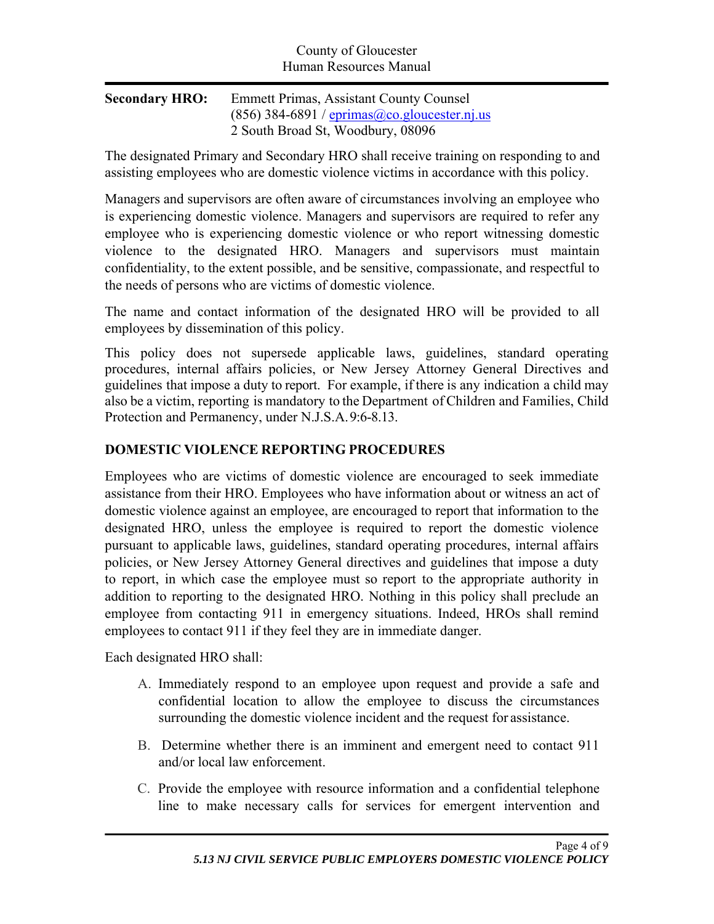| <b>Secondary HRO:</b> | <b>Emmett Primas, Assistant County Counsel</b>         |
|-----------------------|--------------------------------------------------------|
|                       | $(856)$ 384-6891 / eprimas $(a)$ co. glouester. nj. us |
|                       | 2 South Broad St, Woodbury, 08096                      |

The designated Primary and Secondary HRO shall receive training on responding to and assisting employees who are domestic violence victims in accordance with this policy.

Managers and supervisors are often aware of circumstances involving an employee who is experiencing domestic violence. Managers and supervisors are required to refer any employee who is experiencing domestic violence or who report witnessing domestic violence to the designated HRO. Managers and supervisors must maintain confidentiality, to the extent possible, and be sensitive, compassionate, and respectful to the needs of persons who are victims of domestic violence.

The name and contact information of the designated HRO will be provided to all employees by dissemination of this policy.

This policy does not supersede applicable laws, guidelines, standard operating procedures, internal affairs policies, or New Jersey Attorney General Directives and guidelines that impose a duty to report. For example, if there is any indication a child may also be a victim, reporting is mandatory to the Department of Children and Families, Child Protection and Permanency, under N.J.S.A. 9:6-8.13.

## **DOMESTIC VIOLENCE REPORTING PROCEDURES**

Employees who are victims of domestic violence are encouraged to seek immediate assistance from their HRO. Employees who have information about or witness an act of domestic violence against an employee, are encouraged to report that information to the designated HRO, unless the employee is required to report the domestic violence pursuant to applicable laws, guidelines, standard operating procedures, internal affairs policies, or New Jersey Attorney General directives and guidelines that impose a duty to report, in which case the employee must so report to the appropriate authority in addition to reporting to the designated HRO. Nothing in this policy shall preclude an employee from contacting 911 in emergency situations. Indeed, HROs shall remind employees to contact 911 if they feel they are in immediate danger.

Each designated HRO shall:

- A. Immediately respond to an employee upon request and provide a safe and confidential location to allow the employee to discuss the circumstances surrounding the domestic violence incident and the request for assistance.
- B. Determine whether there is an imminent and emergent need to contact 911 and/or local law enforcement.
- C. Provide the employee with resource information and a confidential telephone line to make necessary calls for services for emergent intervention and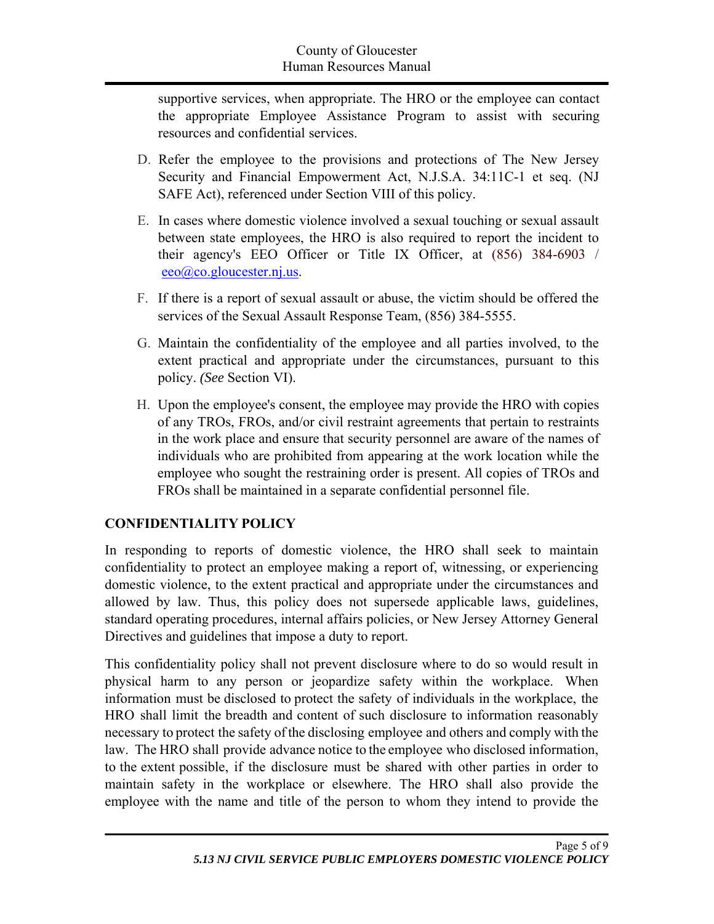supportive services, when appropriate. The HRO or the employee can contact the appropriate Employee Assistance Program to assist with securing resources and confidential services.

- D. Refer the employee to the provisions and protections of The New Jersey Security and Financial Empowerment Act, N.J.S.A. 34:11C-1 et seq. (NJ SAFE Act), referenced under Section VIII of this policy.
- E. In cases where domestic violence involved a sexual touching or sexual assault between state employees, the HRO is also required to report the incident to their agency's EEO Officer or Title IX Officer, at (856) 384-6903 / eeo@co.gloucester.nj.us.
- F. If there is a report of sexual assault or abuse, the victim should be offered the services of the Sexual Assault Response Team, (856) 384-5555.
- G. Maintain the confidentiality of the employee and all parties involved, to the extent practical and appropriate under the circumstances, pursuant to this policy. *(See* Section VI).
- H. Upon the employee's consent, the employee may provide the HRO with copies of any TROs, FROs, and/or civil restraint agreements that pertain to restraints in the work place and ensure that security personnel are aware of the names of individuals who are prohibited from appearing at the work location while the employee who sought the restraining order is present. All copies of TROs and FROs shall be maintained in a separate confidential personnel file.

## **CONFIDENTIALITY POLICY**

In responding to reports of domestic violence, the HRO shall seek to maintain confidentiality to protect an employee making a report of, witnessing, or experiencing domestic violence, to the extent practical and appropriate under the circumstances and allowed by law. Thus, this policy does not supersede applicable laws, guidelines, standard operating procedures, internal affairs policies, or New Jersey Attorney General Directives and guidelines that impose a duty to report.

This confidentiality policy shall not prevent disclosure where to do so would result in physical harm to any person or jeopardize safety within the workplace. When information must be disclosed to protect the safety of individuals in the workplace, the HRO shall limit the breadth and content of such disclosure to information reasonably necessary to protect the safety of the disclosing employee and others and comply with the law. The HRO shall provide advance notice to the employee who disclosed information, to the extent possible, if the disclosure must be shared with other parties in order to maintain safety in the workplace or elsewhere. The HRO shall also provide the employee with the name and title of the person to whom they intend to provide the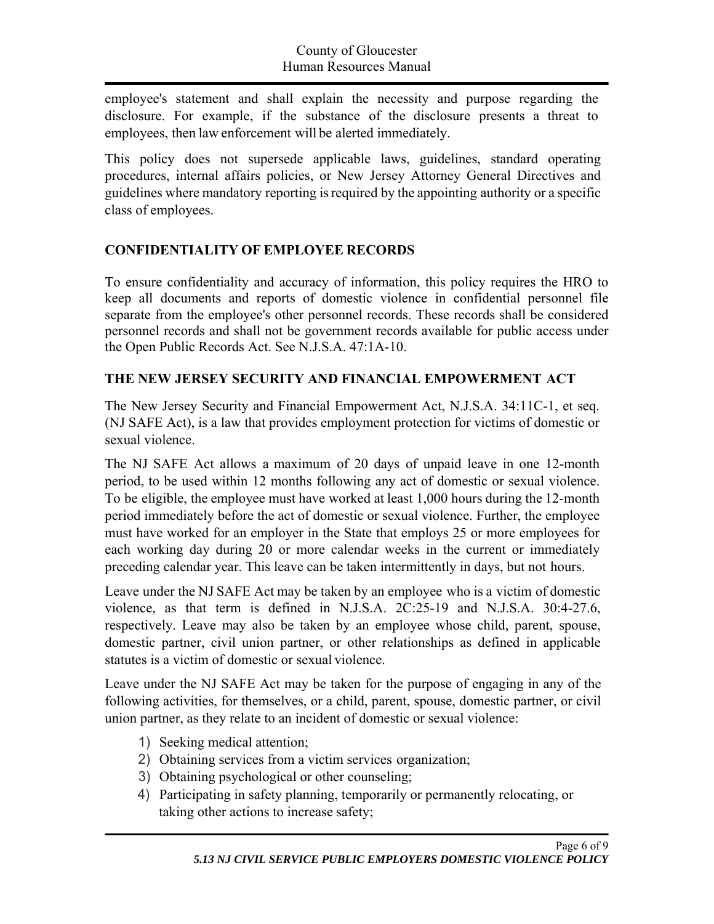employee's statement and shall explain the necessity and purpose regarding the disclosure. For example, if the substance of the disclosure presents a threat to employees, then law enforcement will be alerted immediately.

This policy does not supersede applicable laws, guidelines, standard operating procedures, internal affairs policies, or New Jersey Attorney General Directives and guidelines where mandatory reporting is required by the appointing authority or a specific class of employees.

## **CONFIDENTIALITY OF EMPLOYEE RECORDS**

To ensure confidentiality and accuracy of information, this policy requires the HRO to keep all documents and reports of domestic violence in confidential personnel file separate from the employee's other personnel records. These records shall be considered personnel records and shall not be government records available for public access under the Open Public Records Act. See N.J.S.A. 47:1A-10.

#### **THE NEW JERSEY SECURITY AND FINANCIAL EMPOWERMENT ACT**

The New Jersey Security and Financial Empowerment Act, N.J.S.A. 34:11C-1, et seq. (NJ SAFE Act), is a law that provides employment protection for victims of domestic or sexual violence.

The NJ SAFE Act allows a maximum of 20 days of unpaid leave in one 12-month period, to be used within 12 months following any act of domestic or sexual violence. To be eligible, the employee must have worked at least 1,000 hours during the 12-month period immediately before the act of domestic or sexual violence. Further, the employee must have worked for an employer in the State that employs 25 or more employees for each working day during 20 or more calendar weeks in the current or immediately preceding calendar year. This leave can be taken intermittently in days, but not hours.

Leave under the NJ SAFE Act may be taken by an employee who is a victim of domestic violence, as that term is defined in N.J.S.A. 2C:25-19 and N.J.S.A. 30:4-27.6, respectively. Leave may also be taken by an employee whose child, parent, spouse, domestic partner, civil union partner, or other relationships as defined in applicable statutes is a victim of domestic or sexual violence.

Leave under the NJ SAFE Act may be taken for the purpose of engaging in any of the following activities, for themselves, or a child, parent, spouse, domestic partner, or civil union partner, as they relate to an incident of domestic or sexual violence:

- 1) Seeking medical attention;
- 2) Obtaining services from a victim services organization;
- 3) Obtaining psychological or other counseling;
- 4) Participating in safety planning, temporarily or permanently relocating, or taking other actions to increase safety;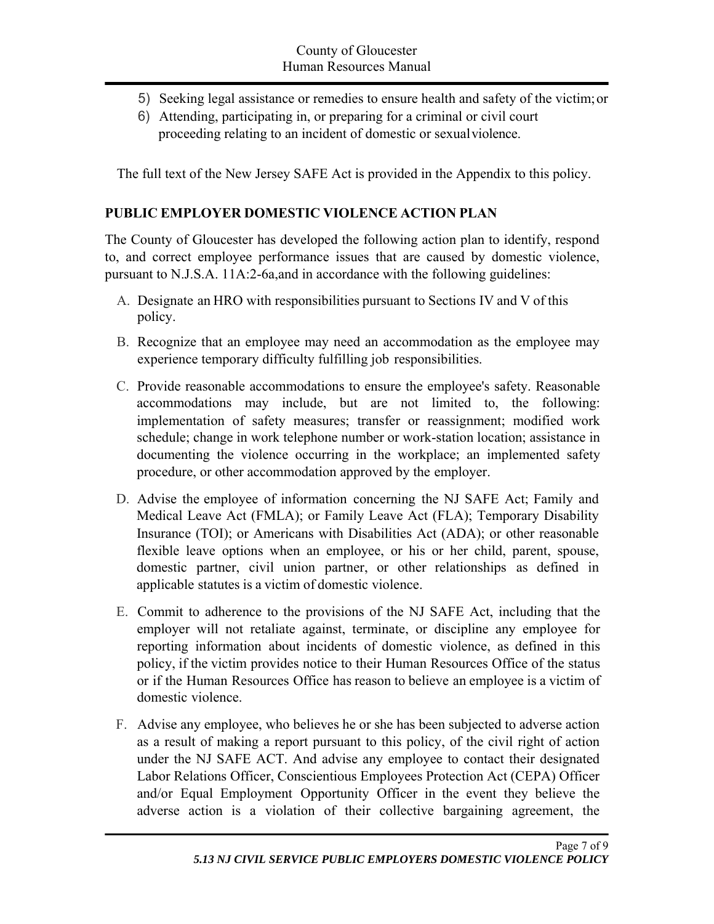- 5) Seeking legal assistance or remedies to ensure health and safety of the victim; or
- 6) Attending, participating in, or preparing for a criminal or civil court proceeding relating to an incident of domestic or sexual violence.

The full text of the New Jersey SAFE Act is provided in the Appendix to this policy.

#### **PUBLIC EMPLOYER DOMESTIC VIOLENCE ACTION PLAN**

The County of Gloucester has developed the following action plan to identify, respond to, and correct employee performance issues that are caused by domestic violence, pursuant to N.J.S.A. 11A:2-6a,and in accordance with the following guidelines:

- A. Designate an HRO with responsibilities pursuant to Sections IV and V of this policy.
- B. Recognize that an employee may need an accommodation as the employee may experience temporary difficulty fulfilling job responsibilities.
- C. Provide reasonable accommodations to ensure the employee's safety. Reasonable accommodations may include, but are not limited to, the following: implementation of safety measures; transfer or reassignment; modified work schedule; change in work telephone number or work-station location; assistance in documenting the violence occurring in the workplace; an implemented safety procedure, or other accommodation approved by the employer.
- D. Advise the employee of information concerning the NJ SAFE Act; Family and Medical Leave Act (FMLA); or Family Leave Act (FLA); Temporary Disability Insurance (TOI); or Americans with Disabilities Act (ADA); or other reasonable flexible leave options when an employee, or his or her child, parent, spouse, domestic partner, civil union partner, or other relationships as defined in applicable statutes is a victim of domestic violence.
- E. Commit to adherence to the provisions of the NJ SAFE Act, including that the employer will not retaliate against, terminate, or discipline any employee for reporting information about incidents of domestic violence, as defined in this policy, if the victim provides notice to their Human Resources Office of the status or if the Human Resources Office has reason to believe an employee is a victim of domestic violence.
- F. Advise any employee, who believes he or she has been subjected to adverse action as a result of making a report pursuant to this policy, of the civil right of action under the NJ SAFE ACT. And advise any employee to contact their designated Labor Relations Officer, Conscientious Employees Protection Act (CEPA) Officer and/or Equal Employment Opportunity Officer in the event they believe the adverse action is a violation of their collective bargaining agreement, the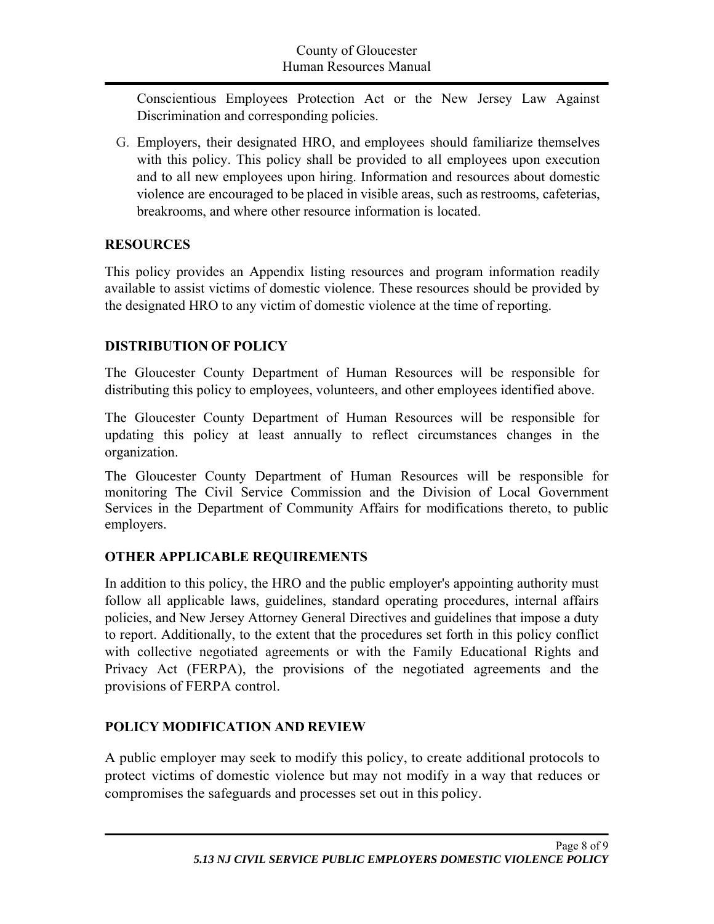Conscientious Employees Protection Act or the New Jersey Law Against Discrimination and corresponding policies.

G. Employers, their designated HRO, and employees should familiarize themselves with this policy. This policy shall be provided to all employees upon execution and to all new employees upon hiring. Information and resources about domestic violence are encouraged to be placed in visible areas, such as restrooms, cafeterias, breakrooms, and where other resource information is located.

## **RESOURCES**

This policy provides an Appendix listing resources and program information readily available to assist victims of domestic violence. These resources should be provided by the designated HRO to any victim of domestic violence at the time of reporting.

# **DISTRIBUTION OF POLICY**

The Gloucester County Department of Human Resources will be responsible for distributing this policy to employees, volunteers, and other employees identified above.

The Gloucester County Department of Human Resources will be responsible for updating this policy at least annually to reflect circumstances changes in the organization.

The Gloucester County Department of Human Resources will be responsible for monitoring The Civil Service Commission and the Division of Local Government Services in the Department of Community Affairs for modifications thereto, to public employers.

# **OTHER APPLICABLE REQUIREMENTS**

In addition to this policy, the HRO and the public employer's appointing authority must follow all applicable laws, guidelines, standard operating procedures, internal affairs policies, and New Jersey Attorney General Directives and guidelines that impose a duty to report. Additionally, to the extent that the procedures set forth in this policy conflict with collective negotiated agreements or with the Family Educational Rights and Privacy Act (FERPA), the provisions of the negotiated agreements and the provisions of FERPA control.

# **POLICY MODIFICATION AND REVIEW**

A public employer may seek to modify this policy, to create additional protocols to protect victims of domestic violence but may not modify in a way that reduces or compromises the safeguards and processes set out in this policy.